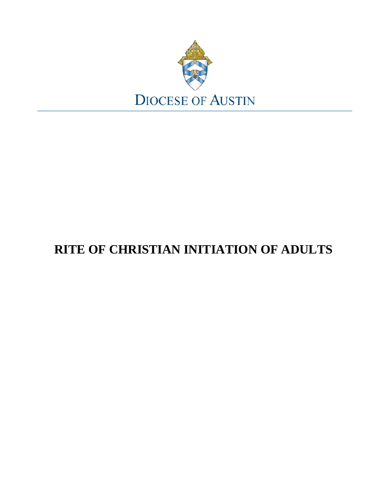

# **RITE OF CHRISTIAN INITIATION OF ADULTS**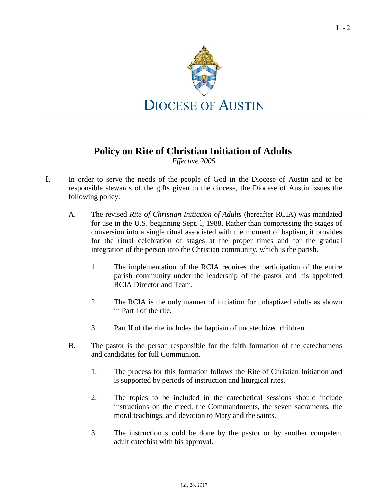

# **Policy on Rite of Christian Initiation of Adults**

*Effective 2005*

- I. In order to serve the needs of the people of God in the Diocese of Austin and to be responsible stewards of the gifts given to the diocese, the Diocese of Austin issues the following policy:
	- A. The revised *Rite of Christian Initiation of Adults* (hereafter RCIA) was mandated for use in the U.S. beginning Sept. l, 1988. Rather than compressing the stages of conversion into a single ritual associated with the moment of baptism, it provides for the ritual celebration of stages at the proper times and for the gradual integration of the person into the Christian community, which is the parish.
		- 1. The implementation of the RCIA requires the participation of the entire parish community under the leadership of the pastor and his appointed RCIA Director and Team.
		- 2. The RCIA is the only manner of initiation for unbaptized adults as shown in Part I of the rite.
		- 3. Part II of the rite includes the baptism of uncatechized children.
	- B. The pastor is the person responsible for the faith formation of the catechumens and candidates for full Communion.
		- 1. The process for this formation follows the Rite of Christian Initiation and is supported by periods of instruction and liturgical rites.
		- 2. The topics to be included in the catechetical sessions should include instructions on the creed, the Commandments, the seven sacraments, the moral teachings, and devotion to Mary and the saints.
		- 3. The instruction should be done by the pastor or by another competent adult catechist with his approval.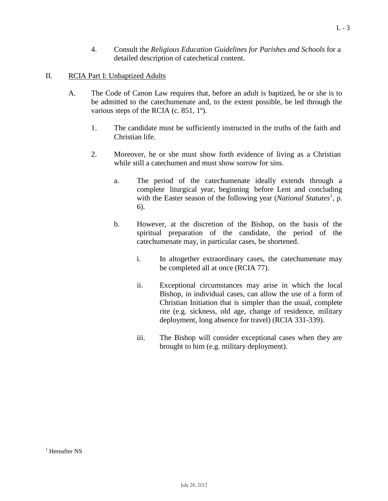4. Consult the *Religious Education Guidelines for Parishes and Schools* for a detailed description of catechetical content.

# II. RCIA Part I: Unbaptized Adults

- <span id="page-2-0"></span>A. The Code of Canon Law requires that, before an adult is baptized, he or she is to be admitted to the catechumenate and, to the extent possible, be led through the various steps of the RCIA (c. 851, 1º).
	- 1. The candidate must be sufficiently instructed in the truths of the faith and Christian life.
	- 2. Moreover, he or she must show forth evidence of living as a Christian while still a catechumen and must show sorrow for sins.
		- a. The period of the catechumenate ideally extends through a complete liturgical year, beginning before Lent and concluding with the Ea[s](#page-2-0)ter season of the following year (*National Statutes*<sup>1</sup>, p. 6).
		- b. However, at the discretion of the Bishop, on the basis of the spiritual preparation of the candidate, the period of the catechumenate may, in particular cases, be shortened.
			- i. In altogether extraordinary cases, the catechumenate may be completed all at once (RCIA 77).
			- ii. Exceptional circumstances may arise in which the local Bishop, in individual cases, can allow the use of a form of Christian Initiation that is simpler than the usual, complete rite (e.g. sickness, old age, change of residence, military deployment, long absence for travel) (RCIA 331-339).
			- iii. The Bishop will consider exceptional cases when they are brought to him (e.g. military deployment).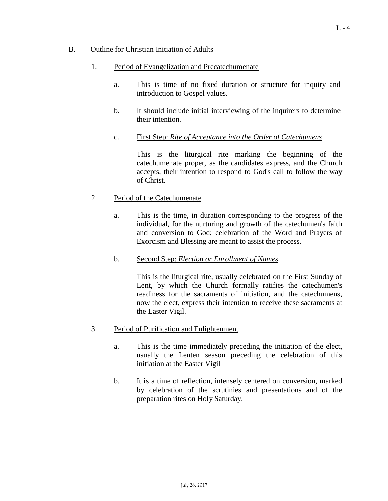#### B. Outline for Christian Initiation of Adults

# 1. Period of Evangelization and Precatechumenate

- a. This is time of no fixed duration or structure for inquiry and introduction to Gospel values.
- b. It should include initial interviewing of the inquirers to determine their intention.
- c. First Step: *Rite of Acceptance into the Order of Catechumens*

This is the liturgical rite marking the beginning of the catechumenate proper, as the candidates express, and the Church accepts, their intention to respond to God's call to follow the way of Christ.

# 2. Period of the Catechumenate

- a. This is the time, in duration corresponding to the progress of the individual, for the nurturing and growth of the catechumen's faith and conversion to God; celebration of the Word and Prayers of Exorcism and Blessing are meant to assist the process.
- b. Second Step: *Election or Enrollment of Names*

This is the liturgical rite, usually celebrated on the First Sunday of Lent, by which the Church formally ratifies the catechumen's readiness for the sacraments of initiation, and the catechumens, now the elect, express their intention to receive these sacraments at the Easter Vigil.

- 3. Period of Purification and Enlightenment
	- a. This is the time immediately preceding the initiation of the elect, usually the Lenten season preceding the celebration of this initiation at the Easter Vigil
	- b. It is a time of reflection, intensely centered on conversion, marked by celebration of the scrutinies and presentations and of the preparation rites on Holy Saturday.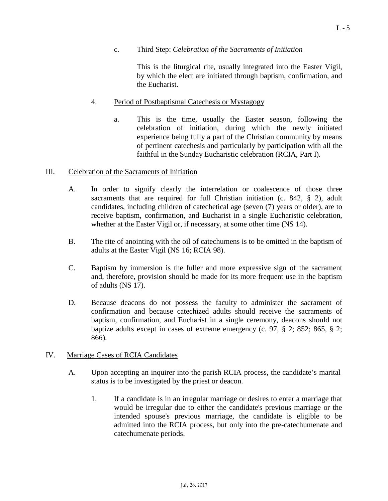### c. Third Step: *Celebration of the Sacraments of Initiation*

This is the liturgical rite, usually integrated into the Easter Vigil, by which the elect are initiated through baptism, confirmation, and the Eucharist.

### 4. Period of Postbaptismal Catechesis or Mystagogy

a. This is the time, usually the Easter season, following the celebration of initiation, during which the newly initiated experience being fully a part of the Christian community by means of pertinent catechesis and particularly by participation with all the faithful in the Sunday Eucharistic celebration (RCIA, Part I).

#### III. Celebration of the Sacraments of Initiation

- A. In order to signify clearly the interrelation or coalescence of those three sacraments that are required for full Christian initiation (c. 842, § 2), adult candidates, including children of catechetical age (seven (7) years or older), are to receive baptism, confirmation, and Eucharist in a single Eucharistic celebration, whether at the Easter Vigil or, if necessary, at some other time (NS 14).
- B. The rite of anointing with the oil of catechumens is to be omitted in the baptism of adults at the Easter Vigil (NS 16; RCIA 98).
- C. Baptism by immersion is the fuller and more expressive sign of the sacrament and, therefore, provision should be made for its more frequent use in the baptism of adults (NS 17).
- D. Because deacons do not possess the faculty to administer the sacrament of confirmation and because catechized adults should receive the sacraments of baptism, confirmation, and Eucharist in a single ceremony, deacons should not baptize adults except in cases of extreme emergency (c. 97, § 2; 852; 865, § 2; 866).

#### IV. Marriage Cases of RCIA Candidates

- A. Upon accepting an inquirer into the parish RCIA process, the candidate's marital status is to be investigated by the priest or deacon.
	- 1. If a candidate is in an irregular marriage or desires to enter a marriage that would be irregular due to either the candidate's previous marriage or the intended spouse's previous marriage, the candidate is eligible to be admitted into the RCIA process, but only into the pre-catechumenate and catechumenate periods.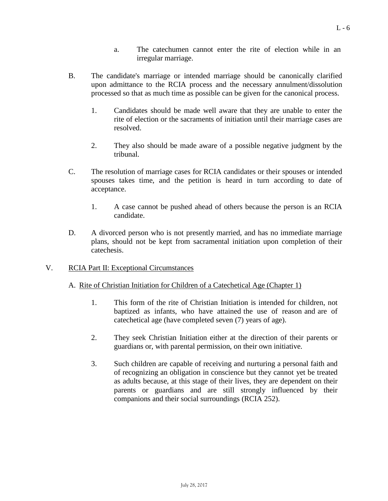- a. The catechumen cannot enter the rite of election while in an irregular marriage.
- B. The candidate's marriage or intended marriage should be canonically clarified upon admittance to the RCIA process and the necessary annulment/dissolution processed so that as much time as possible can be given for the canonical process.
	- 1. Candidates should be made well aware that they are unable to enter the rite of election or the sacraments of initiation until their marriage cases are resolved.
	- 2. They also should be made aware of a possible negative judgment by the tribunal.
- C. The resolution of marriage cases for RCIA candidates or their spouses or intended spouses takes time, and the petition is heard in turn according to date of acceptance.
	- 1. A case cannot be pushed ahead of others because the person is an RCIA candidate.
- D. A divorced person who is not presently married, and has no immediate marriage plans, should not be kept from sacramental initiation upon completion of their catechesis.
- V. RCIA Part II: Exceptional Circumstances

#### A. Rite of Christian Initiation for Children of a Catechetical Age (Chapter 1)

- 1. This form of the rite of Christian Initiation is intended for children, not baptized as infants, who have attained the use of reason and are of catechetical age (have completed seven (7) years of age).
- 2. They seek Christian Initiation either at the direction of their parents or guardians or, with parental permission, on their own initiative.
- 3. Such children are capable of receiving and nurturing a personal faith and of recognizing an obligation in conscience but they cannot yet be treated as adults because, at this stage of their lives, they are dependent on their parents or guardians and are still strongly influenced by their companions and their social surroundings (RCIA 252).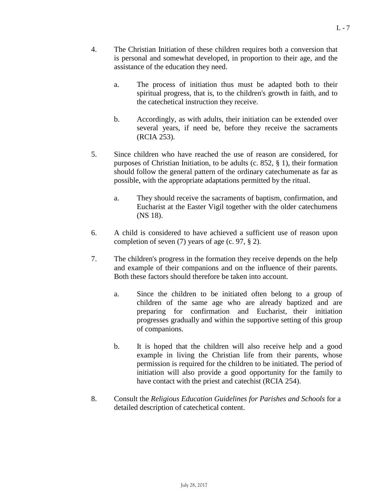- 4. The Christian Initiation of these children requires both a conversion that is personal and somewhat developed, in proportion to their age, and the assistance of the education they need.
	- a. The process of initiation thus must be adapted both to their spiritual progress, that is, to the children's growth in faith, and to the catechetical instruction they receive.
	- b. Accordingly, as with adults, their initiation can be extended over several years, if need be, before they receive the sacraments (RCIA 253).
- 5. Since children who have reached the use of reason are considered, for purposes of Christian Initiation, to be adults (c. 852, § 1), their formation should follow the general pattern of the ordinary catechumenate as far as possible, with the appropriate adaptations permitted by the ritual.
	- a. They should receive the sacraments of baptism, confirmation, and Eucharist at the Easter Vigil together with the older catechumens (NS 18).
- 6. A child is considered to have achieved a sufficient use of reason upon completion of seven (7) years of age (c. 97, § 2).
- 7. The children's progress in the formation they receive depends on the help and example of their companions and on the influence of their parents. Both these factors should therefore be taken into account.
	- a. Since the children to be initiated often belong to a group of children of the same age who are already baptized and are preparing for confirmation and Eucharist, their initiation progresses gradually and within the supportive setting of this group of companions.
	- b. It is hoped that the children will also receive help and a good example in living the Christian life from their parents, whose permission is required for the children to be initiated. The period of initiation will also provide a good opportunity for the family to have contact with the priest and catechist (RCIA 254).
- 8. Consult the *Religious Education Guidelines for Parishes and Schools* for a detailed description of catechetical content.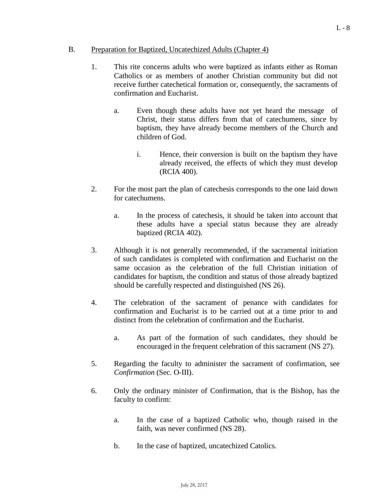#### <span id="page-7-0"></span>B. Preparation for Baptized, Uncate chized Adults (Chapter 4)

- 1. This rite concerns adults who were baptized as infants either as Roman Catholics or as members of another Christian community but did not receive further catechetical formation or, consequently, the sacraments of confirmation and Eucharist.
	- a. Even though these adults have not yet heard the message of Christ, their status differs from that of catechumens, since by baptism, they have already become members of the Church and children of God.
		- i. Hence, their conversion is built on the baptism they have already received, the effects of which they must develop (RCIA 400).
- 2. For the most part the plan of catechesis corresponds to the one laid down for catechumens.
	- a. In the process of catechesis, it should be taken into account that these adults have a special status because they are already baptized (RCIA 402).
- 3. Although it is not generally recommended, if the sacramental initiation of such candidates is completed with confirmation and Eucharist on the same occasion as the celebration of the full Christian initiation of candidates for baptism, the condition and status of those already baptized should be carefully respected and distinguished (NS 26).
- 4. The celebration of the sacrament of penance with candidates for confirmation and Eucharist is to be carried out at a time prior to and distinct from the celebration of confirmation and the Eucharist.
	- a. As part of the formation of such candidates, they should be encouraged in the frequent celebration of this sacrament (NS 27).
- 5. Regarding the faculty to administer the sacrament of confirmation, see *Confirmation* (Sec. O-III).
- 6. Only the ordinary minister of Confirmation, that is the Bishop, has the faculty to confirm:
	- a. In the case of a baptized Catholic who, though raised in the faith, was never confirmed (NS 28).
	- b. In the case of baptized, uncatechized Catolics.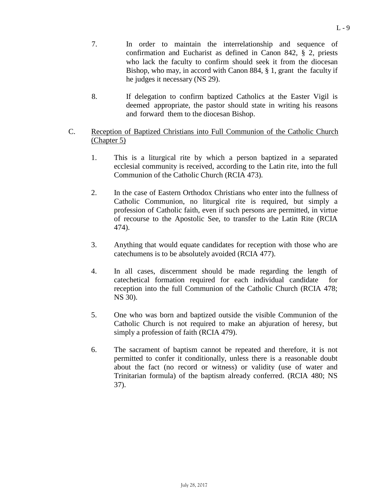- 7. In order to maintain the interrelationship and sequence of confirmation and Eucharist as defined in Canon 842, § 2, priests who lack the faculty to confirm should seek it from the diocesan Bishop, who may, in accord with Canon 884, § 1, grant the faculty if he judges it necessary (NS 29).
- 8. If delegation to confirm baptized Catholics at the Easter Vigil is deemed appropriate, the pastor should state in writing his reasons and forward them to the diocesan Bishop.
- C. Reception of Baptized Christians into Full Communion of the Catholic Church (Chapter 5)
	- 1. This is a liturgical rite by which a person baptized in a separated ecclesial community is received, according to the Latin rite, into the full Communion of the Catholic Church (RCIA 473).
	- 2. In the case of Eastern Orthodox Christians who enter into the fullness of Catholic Communion, no liturgical rite is required, but simply a profession of Catholic faith, even if such persons are permitted, in virtue of recourse to the Apostolic See, to transfer to the Latin Rite (RCIA 474).
	- 3. Anything that would equate candidates for reception with those who are catechumens is to be absolutely avoided (RCIA 477).
	- 4. In all cases, discernment should be made regarding the length of catechetical formation required for each individual candidate for reception into the full Communion of the Catholic Church (RCIA 478; NS 30).
	- 5. One who was born and baptized outside the visible Communion of the Catholic Church is not required to make an abjuration of heresy, but simply a profession of faith (RCIA 479).
	- 6. The sacrament of baptism cannot be repeated and therefore, it is not permitted to confer it conditionally, unless there is a reasonable doubt about the fact (no record or witness) or validity (use of water and Trinitarian formula) of the baptism already conferred. (RCIA 480; NS 37).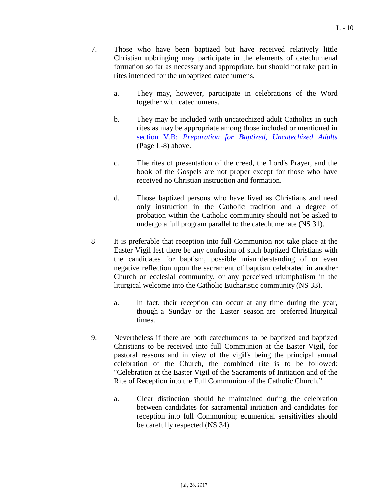- 7. Those who have been baptized but have received relatively little Christian upbringing may participate in the elements of catechumenal formation so far as necessary and appropriate, but should not take part in rites intended for the unbaptized catechumens.
	- a. They may, however, participate in celebrations of the Word together with catechumens.
	- b. They may be included with uncatechized adult Catholics in such rites as may be appropriate among those included or mentioned in section V.B: *Preparation for Baptized, [Uncatechized](#page-7-0) Adults* (Page L-8) above.
	- c. The rites of presentation of the creed, the Lord's Prayer, and the book of the Gospels are not proper except for those who have received no Christian instruction and formation.
	- d. Those baptized persons who have lived as Christians and need only instruction in the Catholic tradition and a degree of probation within the Catholic community should not be asked to undergo a full program parallel to the catechumenate (NS 31).
- 8 It is preferable that reception into full Communion not take place at the Easter Vigil lest there be any confusion of such baptized Christians with the candidates for baptism, possible misunderstanding of or even negative reflection upon the sacrament of baptism celebrated in another Church or ecclesial community, or any perceived triumphalism in the liturgical welcome into the Catholic Eucharistic community (NS 33).
	- a. In fact, their reception can occur at any time during the year, though a Sunday or the Easter season are preferred liturgical times.
- 9. Nevertheless if there are both catechumens to be baptized and baptized Christians to be received into full Communion at the Easter Vigil, for pastoral reasons and in view of the vigil's being the principal annual celebration of the Church, the combined rite is to be followed: "Celebration at the Easter Vigil of the Sacraments of Initiation and of the Rite of Reception into the Full Communion of the Catholic Church."
	- a. Clear distinction should be maintained during the celebration between candidates for sacramental initiation and candidates for reception into full Communion; ecumenical sensitivities should be carefully respected (NS 34).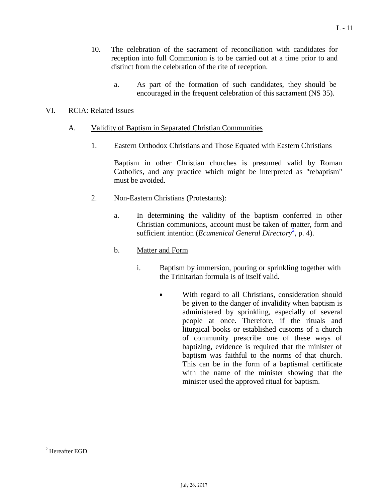- 10. The celebration of the sacrament of reconciliation with candidates for reception into full Communion is to be carried out at a time prior to and distinct from the celebration of the rite of reception.
	- a. As part of the formation of such candidates, they should be encouraged in the frequent celebration of this sacrament (NS 35).

### VI. RCIA: Related Issues

#### A. Validity of Baptism in Separated Christian Communities

1. Eastern Orthodox Christians and Those Equated with Eastern Christians

Baptism in other Christian churches is presumed valid by Roman Catholics, and any practice which might be interpreted as "rebaptism" must be avoided.

- <span id="page-10-0"></span>2. Non-Eastern Christians (Protestants):
	- a. In determining the validity of the baptism conferred in other Christian communions, account must be taken of matter, form and sufficient intention (*Ecumenical General Directory*<sup>[2](#page-10-0)</sup>, p. 4).
	- b. Matter and Form
		- i. Baptism by immersion, pouring or sprinkling together with the Trinitarian formula is of itself valid.
			- With regard to all Christians, consideration should be given to the danger of invalidity when baptism is administered by sprinkling, especially of several people at once. Therefore, if the rituals and liturgical books or established customs of a church of community prescribe one of these ways of baptizing, evidence is required that the minister of baptism was faithful to the norms of that church. This can be in the form of a baptismal certificate with the name of the minister showing that the minister used the approved ritual for baptism.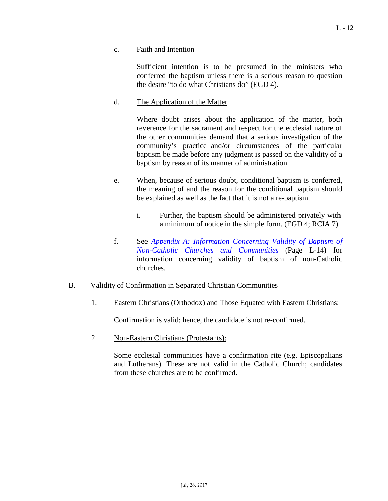c. Faith and Intention

Sufficient intention is to be presumed in the ministers who conferred the baptism unless there is a serious reason to question the desire "to do what Christians do" (EGD 4).

#### d. The Application of the Matter

Where doubt arises about the application of the matter, both reverence for the sacrament and respect for the ecclesial nature of the other communities demand that a serious investigation of the community's practice and/or circumstances of the particular baptism be made before any judgment is passed on the validity of a baptism by reason of its manner of administration.

- e. When, because of serious doubt, conditional baptism is conferred, the meaning of and the reason for the conditional baptism should be explained as well as the fact that it is not a re-baptism.
	- i. Further, the baptism should be administered privately with a minimum of notice in the simple form. (EGD 4; RCIA 7)
- f. See *Appendix A: [Information](#page-13-0) Concerning Validity of Baptism of [Non-Catholic](#page-13-0) Churches and Communities* (Page L-14) for information concerning validity of baptism of non-Catholic churches.

#### B. Validity of Confirmation in Separated Christian Communities

1. Eastern Christians (Orthodox) and Those Equated with Eastern Christians:

Confirmation is valid; hence, the candidate is not re-confirmed.

2. Non-Eastern Christians (Protestants):

Some ecclesial communities have a confirmation rite (e.g. Episcopalians and Lutherans). These are not valid in the Catholic Church; candidates from these churches are to be confirmed.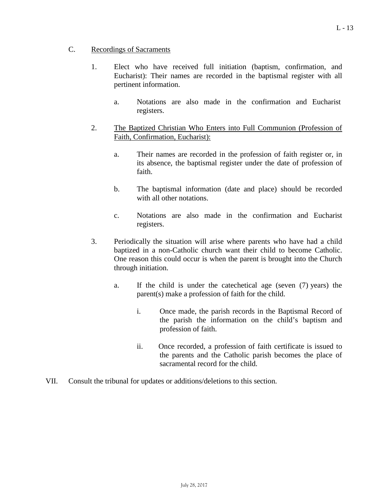# C. Recordings of Sacraments

- 1. Elect who have received full initiation (baptism, confirmation, and Eucharist): Their names are recorded in the baptismal register with all pertinent information.
	- a. Notations are also made in the confirmation and Eucharist registers.
- 2. The Baptized Christian Who Enters into Full Communion (Profession of Faith, Confirmation, Eucharist):
	- a. Their names are recorded in the profession of faith register or, in its absence, the baptismal register under the date of profession of faith.
	- b. The baptismal information (date and place) should be recorded with all other notations.
	- c. Notations are also made in the confirmation and Eucharist registers.
- 3. Periodically the situation will arise where parents who have had a child baptized in a non-Catholic church want their child to become Catholic. One reason this could occur is when the parent is brought into the Church through initiation.
	- a. If the child is under the catechetical age (seven (7) years) the parent(s) make a profession of faith for the child.
		- i. Once made, the parish records in the Baptismal Record of the parish the information on the child's baptism and profession of faith.
		- ii. Once recorded, a profession of faith certificate is issued to the parents and the Catholic parish becomes the place of sacramental record for the child.
- VII. Consult the tribunal for updates or additions/deletions to this section.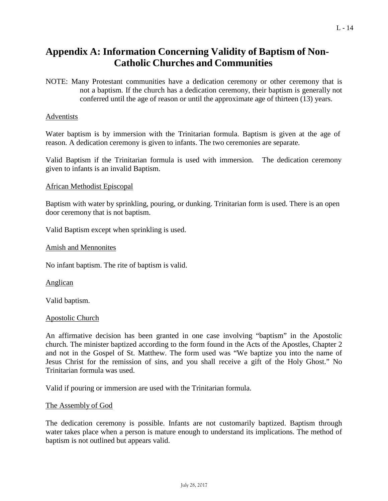# <span id="page-13-0"></span>**Appendix A: Information Concerning Validity of Baptism of Non-Catholic Churches and Communities**

NOTE: Many Protestant communities have a dedication ceremony or other ceremony that is not a baptism. If the church has a dedication ceremony, their baptism is generally not conferred until the age of reason or until the approximate age of thirteen (13) years.

#### Adventists

Water baptism is by immersion with the Trinitarian formula. Baptism is given at the age of reason. A dedication ceremony is given to infants. The two ceremonies are separate.

Valid Baptism if the Trinitarian formula is used with immersion. The dedication ceremony given to infants is an invalid Baptism.

#### African Methodist Episcopal

Baptism with water by sprinkling, pouring, or dunking. Trinitarian form is used. There is an open door ceremony that is not baptism.

Valid Baptism except when sprinkling is used.

Amish and Mennonites

No infant baptism. The rite of baptism is valid.

Anglican

Valid baptism.

#### Apostolic Church

An affirmative decision has been granted in one case involving "baptism" in the Apostolic church. The minister baptized according to the form found in the Acts of the Apostles, Chapter 2 and not in the Gospel of St. Matthew. The form used was "We baptize you into the name of Jesus Christ for the remission of sins, and you shall receive a gift of the Holy Ghost." No Trinitarian formula was used.

Valid if pouring or immersion are used with the Trinitarian formula.

#### The Assembly of God

The dedication ceremony is possible. Infants are not customarily baptized. Baptism through water takes place when a person is mature enough to understand its implications. The method of baptism is not outlined but appears valid.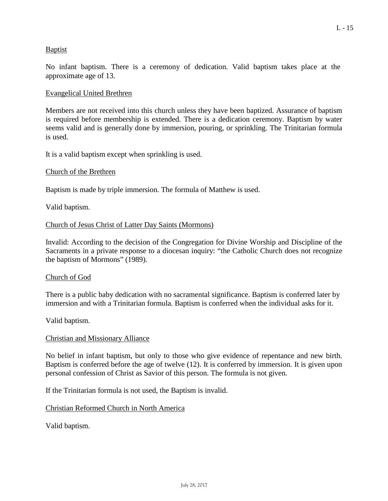# Baptist

No infant baptism. There is a ceremony of dedication. Valid baptism takes place at the approximate age of 13.

#### Evangelical United Brethren

Members are not received into this church unless they have been baptized. Assurance of baptism is required before membership is extended. There is a dedication ceremony. Baptism by water seems valid and is generally done by immersion, pouring, or sprinkling. The Trinitarian formula is used.

It is a valid baptism except when sprinkling is used.

#### Church of the Brethren

Baptism is made by triple immersion. The formula of Matthew is used.

Valid baptism.

#### Church of Jesus Christ of Latter Day Saints (Mormons)

Invalid: According to the decision of the Congregation for Divine Worship and Discipline of the Sacraments in a private response to a diocesan inquiry: "the Catholic Church does not recognize the baptism of Mormons" (1989).

#### Church of God

There is a public baby dedication with no sacramental significance. Baptism is conferred later by immersion and with a Trinitarian formula. Baptism is conferred when the individual asks for it.

Valid baptism.

#### Christian and Missionary Alliance

No belief in infant baptism, but only to those who give evidence of repentance and new birth. Baptism is conferred before the age of twelve (12). It is conferred by immersion. It is given upon personal confession of Christ as Savior of this person. The formula is not given.

If the Trinitarian formula is not used, the Baptism is invalid.

#### Christian Reformed Church in North America

Valid baptism.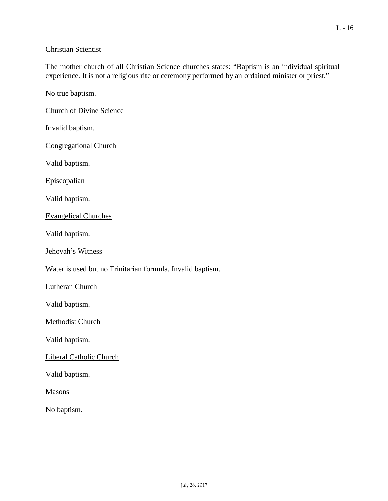# Christian Scientist

The mother church of all Christian Science churches states: "Baptism is an individual spiritual experience. It is not a religious rite or ceremony performed by an ordained minister or priest."

No true baptism.

Church of Divine Science

Invalid baptism.

Congregational Church

Valid baptism.

Episcopalian

Valid baptism.

Evangelical Churches

Valid baptism.

Jehovah's Witness

Water is used but no Trinitarian formula. Invalid baptism.

Lutheran Church

Valid baptism.

Methodist Church

Valid baptism.

Liberal Catholic Church

Valid baptism.

Masons

No baptism.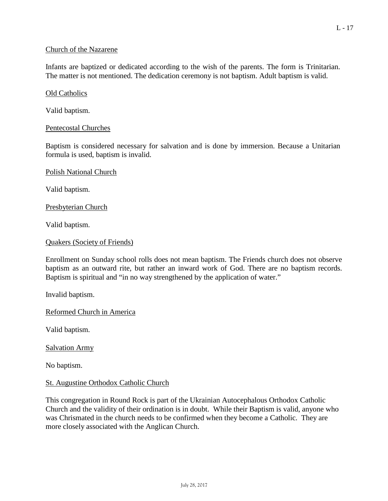### Church of the Nazarene

Infants are baptized or dedicated according to the wish of the parents. The form is Trinitarian. The matter is not mentioned. The dedication ceremony is not baptism. Adult baptism is valid.

Old Catholics

Valid baptism.

# Pentecostal Churches

Baptism is considered necessary for salvation and is done by immersion. Because a Unitarian formula is used, baptism is invalid.

Polish National Church

Valid baptism.

Presbyterian Church

Valid baptism.

```
Quakers (Society of Friends)
```
Enrollment on Sunday school rolls does not mean baptism. The Friends church does not observe baptism as an outward rite, but rather an inward work of God. There are no baptism records. Baptism is spiritual and "in no way strengthened by the application of water."

Invalid baptism.

Reformed Church in America

Valid baptism.

Salvation Army

No baptism.

#### St. Augustine Orthodox Catholic Church

This congregation in Round Rock is part of the Ukrainian Autocephalous Orthodox Catholic Church and the validity of their ordination is in doubt. While their Baptism is valid, anyone who was Chrismated in the church needs to be confirmed when they become a Catholic. They are more closely associated with the Anglican Church.